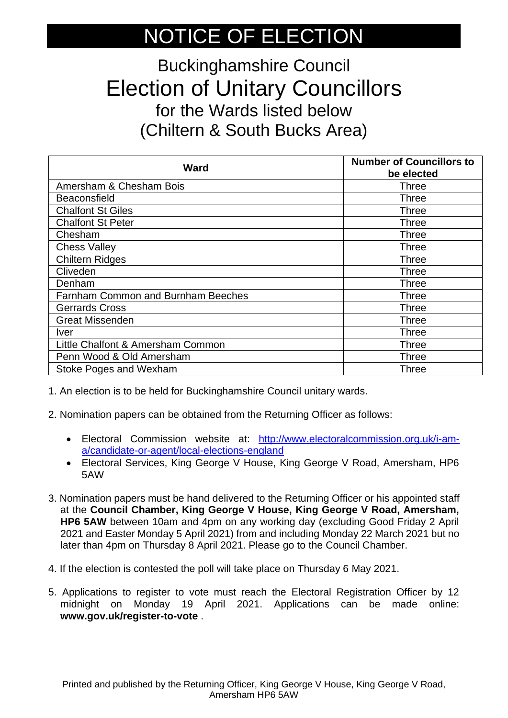## NOTICE OF ELECTION

## Buckinghamshire Council Election of Unitary Councillors for the Wards listed below (Chiltern & South Bucks Area)

| <b>Ward</b>                               | <b>Number of Councillors to</b><br>be elected |
|-------------------------------------------|-----------------------------------------------|
| Amersham & Chesham Bois                   | <b>Three</b>                                  |
| <b>Beaconsfield</b>                       | Three                                         |
| <b>Chalfont St Giles</b>                  | Three                                         |
| <b>Chalfont St Peter</b>                  | Three                                         |
| Chesham                                   | Three                                         |
| <b>Chess Valley</b>                       | Three                                         |
| <b>Chiltern Ridges</b>                    | Three                                         |
| Cliveden                                  | <b>Three</b>                                  |
| Denham                                    | <b>Three</b>                                  |
| <b>Farnham Common and Burnham Beeches</b> | <b>Three</b>                                  |
| <b>Gerrards Cross</b>                     | Three                                         |
| <b>Great Missenden</b>                    | <b>Three</b>                                  |
| <i>ver</i>                                | Three                                         |
| Little Chalfont & Amersham Common         | Three                                         |
| Penn Wood & Old Amersham                  | <b>Three</b>                                  |
| <b>Stoke Poges and Wexham</b>             | Three                                         |

1. An election is to be held for Buckinghamshire Council unitary wards.

- 2. Nomination papers can be obtained from the Returning Officer as follows:
	- Electoral Commission website at: [http://www.electoralcommission.org.uk/i-am](http://www.electoralcommission.org.uk/i-am-a/candidate-or-agent/local-elections-england)[a/candidate-or-agent/local-elections-england](http://www.electoralcommission.org.uk/i-am-a/candidate-or-agent/local-elections-england)
	- Electoral Services, King George V House, King George V Road, Amersham, HP6 5AW
- 3. Nomination papers must be hand delivered to the Returning Officer or his appointed staff at the **Council Chamber, King George V House, King George V Road, Amersham, HP6 5AW** between 10am and 4pm on any working day (excluding Good Friday 2 April 2021 and Easter Monday 5 April 2021) from and including Monday 22 March 2021 but no later than 4pm on Thursday 8 April 2021. Please go to the Council Chamber.
- 4. If the election is contested the poll will take place on Thursday 6 May 2021.
- 5. Applications to register to vote must reach the Electoral Registration Officer by 12 midnight on Monday 19 April 2021. Applications can be made online: **www.gov.uk/register-to-vote** .